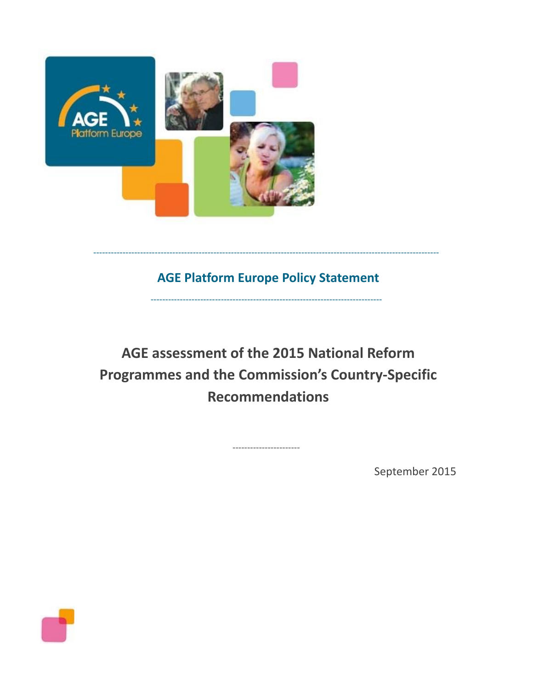

# **AGE Platform Europe Policy Statement**

-------------------------------------------------------------------------------

----------------------------------------------------------------------------------------------------------------------

**AGE assessment of the 2015 National Reform Programmes and the Commission's Country-Specific Recommendations**

-----------------------

September 2015

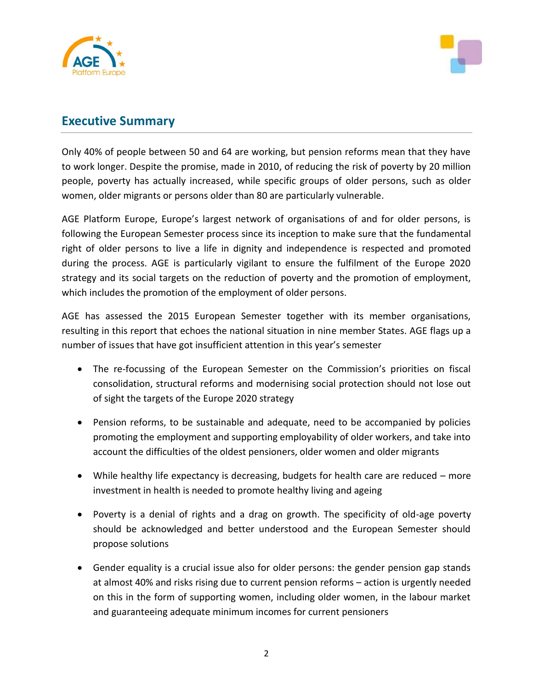



## **Executive Summary**

Only 40% of people between 50 and 64 are working, but pension reforms mean that they have to work longer. Despite the promise, made in 2010, of reducing the risk of poverty by 20 million people, poverty has actually increased, while specific groups of older persons, such as older women, older migrants or persons older than 80 are particularly vulnerable.

AGE Platform Europe, Europe's largest network of organisations of and for older persons, is following the European Semester process since its inception to make sure that the fundamental right of older persons to live a life in dignity and independence is respected and promoted during the process. AGE is particularly vigilant to ensure the fulfilment of the Europe 2020 strategy and its social targets on the reduction of poverty and the promotion of employment, which includes the promotion of the employment of older persons.

AGE has assessed the 2015 European Semester together with its member organisations, resulting in this report that echoes the national situation in nine member States. AGE flags up a number of issues that have got insufficient attention in this year's semester

- The re-focussing of the European Semester on the Commission's priorities on fiscal consolidation, structural reforms and modernising social protection should not lose out of sight the targets of the Europe 2020 strategy
- Pension reforms, to be sustainable and adequate, need to be accompanied by policies promoting the employment and supporting employability of older workers, and take into account the difficulties of the oldest pensioners, older women and older migrants
- While healthy life expectancy is decreasing, budgets for health care are reduced more investment in health is needed to promote healthy living and ageing
- Poverty is a denial of rights and a drag on growth. The specificity of old-age poverty should be acknowledged and better understood and the European Semester should propose solutions
- Gender equality is a crucial issue also for older persons: the gender pension gap stands at almost 40% and risks rising due to current pension reforms – action is urgently needed on this in the form of supporting women, including older women, in the labour market and guaranteeing adequate minimum incomes for current pensioners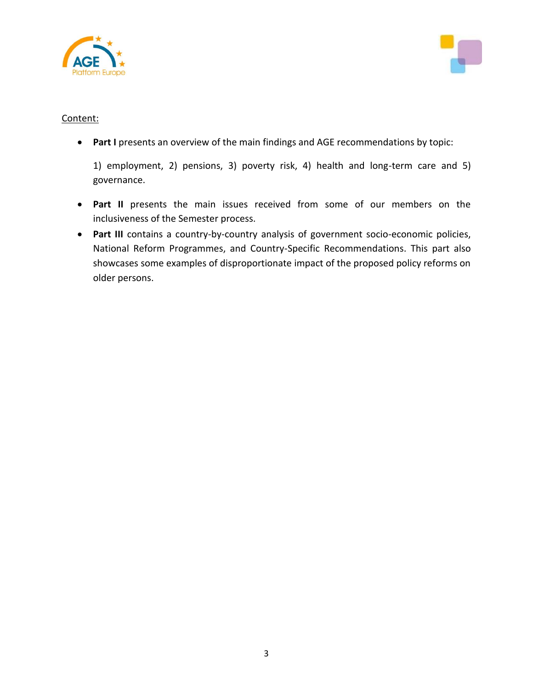



### Content:

**Part I** presents an overview of the main findings and AGE recommendations by topic:

1) employment, 2) pensions, 3) poverty risk, 4) health and long-term care and 5) governance.

- **Part II** presents the main issues received from some of our members on the inclusiveness of the Semester process.
- **Part III** contains a country-by-country analysis of government socio-economic policies, National Reform Programmes, and Country-Specific Recommendations. This part also showcases some examples of disproportionate impact of the proposed policy reforms on older persons.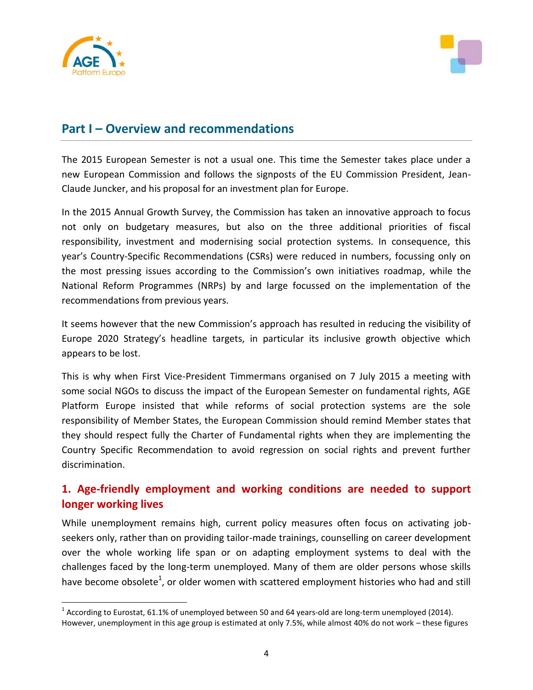

l



## **Part I – Overview and recommendations**

The 2015 European Semester is not a usual one. This time the Semester takes place under a new European Commission and follows the signposts of the EU Commission President, Jean-Claude Juncker, and his proposal for an investment plan for Europe.

In the 2015 Annual Growth Survey, the Commission has taken an innovative approach to focus not only on budgetary measures, but also on the three additional priorities of fiscal responsibility, investment and modernising social protection systems. In consequence, this year's Country-Specific Recommendations (CSRs) were reduced in numbers, focussing only on the most pressing issues according to the Commission's own initiatives roadmap, while the National Reform Programmes (NRPs) by and large focussed on the implementation of the recommendations from previous years.

It seems however that the new Commission's approach has resulted in reducing the visibility of Europe 2020 Strategy's headline targets, in particular its inclusive growth objective which appears to be lost.

This is why when First Vice-President Timmermans organised on 7 July 2015 a meeting with some social NGOs to discuss the impact of the European Semester on fundamental rights, AGE Platform Europe insisted that while reforms of social protection systems are the sole responsibility of Member States, the European Commission should remind Member states that they should respect fully the Charter of Fundamental rights when they are implementing the Country Specific Recommendation to avoid regression on social rights and prevent further discrimination.

## **1. Age-friendly employment and working conditions are needed to support longer working lives**

While unemployment remains high, current policy measures often focus on activating jobseekers only, rather than on providing tailor-made trainings, counselling on career development over the whole working life span or on adapting employment systems to deal with the challenges faced by the long-term unemployed. Many of them are older persons whose skills have become obsolete<sup>1</sup>, or older women with scattered employment histories who had and still

 $^1$  According to Eurostat, 61.1% of unemployed between 50 and 64 years-old are long-term unemployed (2014). However, unemployment in this age group is estimated at only 7.5%, while almost 40% do not work – these figures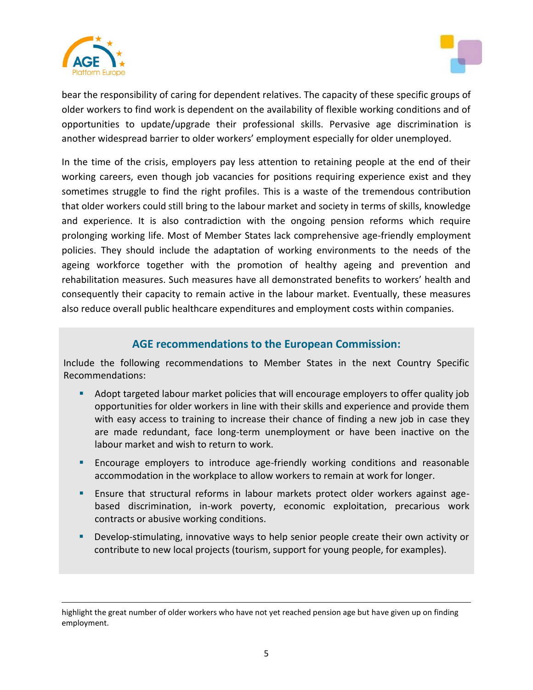

l



bear the responsibility of caring for dependent relatives. The capacity of these specific groups of older workers to find work is dependent on the availability of flexible working conditions and of opportunities to update/upgrade their professional skills. Pervasive age discrimination is another widespread barrier to older workers' employment especially for older unemployed.

In the time of the crisis, employers pay less attention to retaining people at the end of their working careers, even though job vacancies for positions requiring experience exist and they sometimes struggle to find the right profiles. This is a waste of the tremendous contribution that older workers could still bring to the labour market and society in terms of skills, knowledge and experience. It is also contradiction with the ongoing pension reforms which require prolonging working life. Most of Member States lack comprehensive age-friendly employment policies. They should include the adaptation of working environments to the needs of the ageing workforce together with the promotion of healthy ageing and prevention and rehabilitation measures. Such measures have all demonstrated benefits to workers' health and consequently their capacity to remain active in the labour market. Eventually, these measures also reduce overall public healthcare expenditures and employment costs within companies.

## **AGE recommendations to the European Commission:**

Include the following recommendations to Member States in the next Country Specific Recommendations:

- Adopt targeted labour market policies that will encourage employers to offer quality job opportunities for older workers in line with their skills and experience and provide them with easy access to training to increase their chance of finding a new job in case they are made redundant, face long-term unemployment or have been inactive on the labour market and wish to return to work.
- Encourage employers to introduce age-friendly working conditions and reasonable accommodation in the workplace to allow workers to remain at work for longer.
- Ensure that structural reforms in labour markets protect older workers against agebased discrimination, in-work poverty, economic exploitation, precarious work contracts or abusive working conditions.
- Develop-stimulating, innovative ways to help senior people create their own activity or contribute to new local projects (tourism, support for young people, for examples).

highlight the great number of older workers who have not yet reached pension age but have given up on finding employment.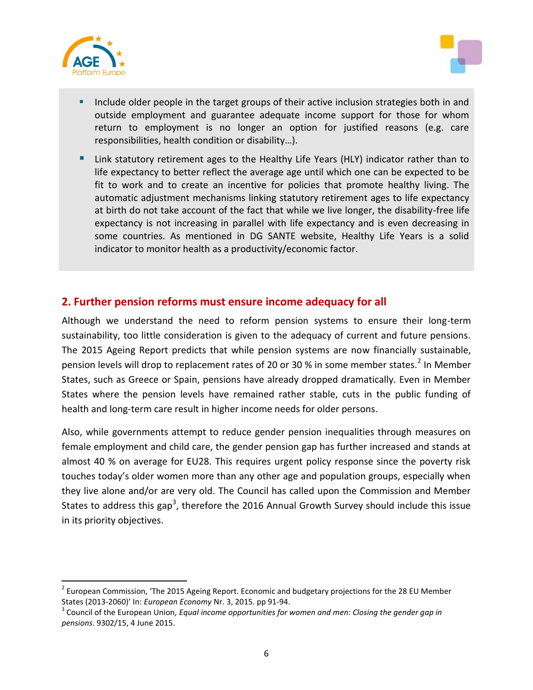

 $\overline{a}$ 



- Include older people in the target groups of their active inclusion strategies both in and outside employment and guarantee adequate income support for those for whom return to employment is no longer an option for justified reasons (e.g. care responsibilities, health condition or disability…).
- Link statutory retirement ages to the Healthy Life Years (HLY) indicator rather than to life expectancy to better reflect the average age until which one can be expected to be fit to work and to create an incentive for policies that promote healthy living. The automatic adjustment mechanisms linking statutory retirement ages to life expectancy at birth do not take account of the fact that while we live longer, the disability-free life expectancy is not increasing in parallel with life expectancy and is even decreasing in some countries. As mentioned in DG SANTE website, Healthy Life Years is a solid indicator to monitor health as a productivity/economic factor.

## **2. Further pension reforms must ensure income adequacy for all**

Although we understand the need to reform pension systems to ensure their long-term sustainability, too little consideration is given to the adequacy of current and future pensions. The 2015 Ageing Report predicts that while pension systems are now financially sustainable, pension levels will drop to replacement rates of 20 or 30 % in some member states.<sup>2</sup> In Member States, such as Greece or Spain, pensions have already dropped dramatically. Even in Member States where the pension levels have remained rather stable, cuts in the public funding of health and long-term care result in higher income needs for older persons.

Also, while governments attempt to reduce gender pension inequalities through measures on female employment and child care, the gender pension gap has further increased and stands at almost 40 % on average for EU28. This requires urgent policy response since the poverty risk touches today's older women more than any other age and population groups, especially when they live alone and/or are very old. The Council has called upon the Commission and Member States to address this gap<sup>3</sup>, therefore the 2016 Annual Growth Survey should include this issue in its priority objectives.

<sup>&</sup>lt;sup>2</sup> European Commission, 'The 2015 Ageing Report. Economic and budgetary projections for the 28 EU Member States (2013-2060)' In: *European Economy* Nr. 3, 2015. pp 91-94.

<sup>&</sup>lt;sup>3</sup> Council of the European Union, *Equal income opportunities for women and men: Closing the gender gap in pensions*. 9302/15, 4 June 2015.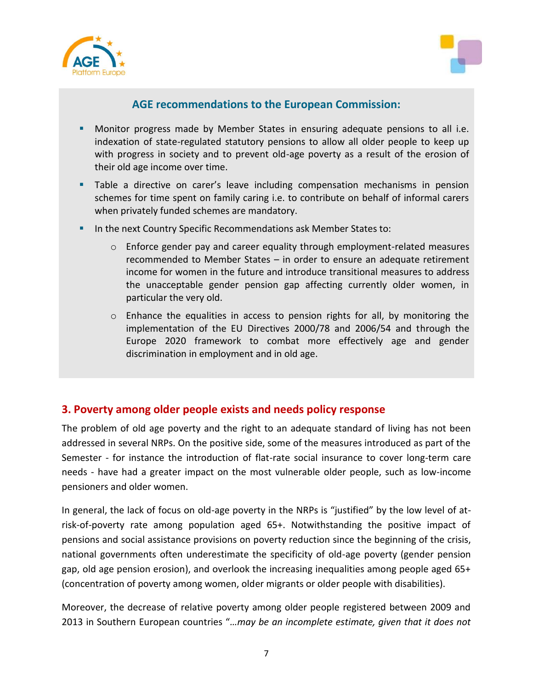



## **AGE recommendations to the European Commission:**

- Monitor progress made by Member States in ensuring adequate pensions to all i.e. indexation of state-regulated statutory pensions to allow all older people to keep up with progress in society and to prevent old-age poverty as a result of the erosion of their old age income over time.
- Table a directive on carer's leave including compensation mechanisms in pension schemes for time spent on family caring i.e. to contribute on behalf of informal carers when privately funded schemes are mandatory.
- **IF In the next Country Specific Recommendations ask Member States to:** 
	- o Enforce gender pay and career equality through employment-related measures recommended to Member States – in order to ensure an adequate retirement income for women in the future and introduce transitional measures to address the unacceptable gender pension gap affecting currently older women, in particular the very old.
	- o Enhance the equalities in access to pension rights for all, by monitoring the implementation of the EU Directives 2000/78 and 2006/54 and through the Europe 2020 framework to combat more effectively age and gender discrimination in employment and in old age.

## **3. Poverty among older people exists and needs policy response**

The problem of old age poverty and the right to an adequate standard of living has not been addressed in several NRPs. On the positive side, some of the measures introduced as part of the Semester - for instance the introduction of flat-rate social insurance to cover long-term care needs - have had a greater impact on the most vulnerable older people, such as low-income pensioners and older women.

In general, the lack of focus on old-age poverty in the NRPs is "justified" by the low level of atrisk-of-poverty rate among population aged 65+. Notwithstanding the positive impact of pensions and social assistance provisions on poverty reduction since the beginning of the crisis, national governments often underestimate the specificity of old-age poverty (gender pension gap, old age pension erosion), and overlook the increasing inequalities among people aged 65+ (concentration of poverty among women, older migrants or older people with disabilities).

Moreover, the decrease of relative poverty among older people registered between 2009 and 2013 in Southern European countries "*…may be an incomplete estimate, given that it does not*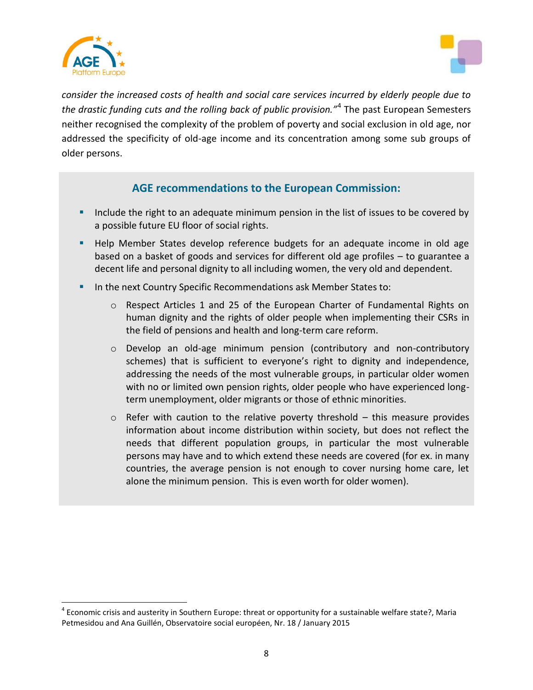

l



*consider the increased costs of health and social care services incurred by elderly people due to the drastic funding cuts and the rolling back of public provision."*<sup>4</sup> The past European Semesters neither recognised the complexity of the problem of poverty and social exclusion in old age, nor addressed the specificity of old-age income and its concentration among some sub groups of older persons.

## **AGE recommendations to the European Commission:**

- Include the right to an adequate minimum pension in the list of issues to be covered by a possible future EU floor of social rights.
- **Help Member States develop reference budgets for an adequate income in old age** based on a basket of goods and services for different old age profiles – to guarantee a decent life and personal dignity to all including women, the very old and dependent.
- **In the next Country Specific Recommendations ask Member States to:** 
	- o Respect Articles 1 and 25 of the European Charter of Fundamental Rights on human dignity and the rights of older people when implementing their CSRs in the field of pensions and health and long-term care reform.
	- o Develop an old-age minimum pension (contributory and non-contributory schemes) that is sufficient to everyone's right to dignity and independence, addressing the needs of the most vulnerable groups, in particular older women with no or limited own pension rights, older people who have experienced longterm unemployment, older migrants or those of ethnic minorities.
	- $\circ$  Refer with caution to the relative poverty threshold this measure provides information about income distribution within society, but does not reflect the needs that different population groups, in particular the most vulnerable persons may have and to which extend these needs are covered (for ex. in many countries, the average pension is not enough to cover nursing home care, let alone the minimum pension. This is even worth for older women).

 $^4$  Economic crisis and austerity in Southern Europe: threat or opportunity for a sustainable welfare state?, Maria Petmesidou and Ana Guillén, Observatoire social européen, Nr. 18 / January 2015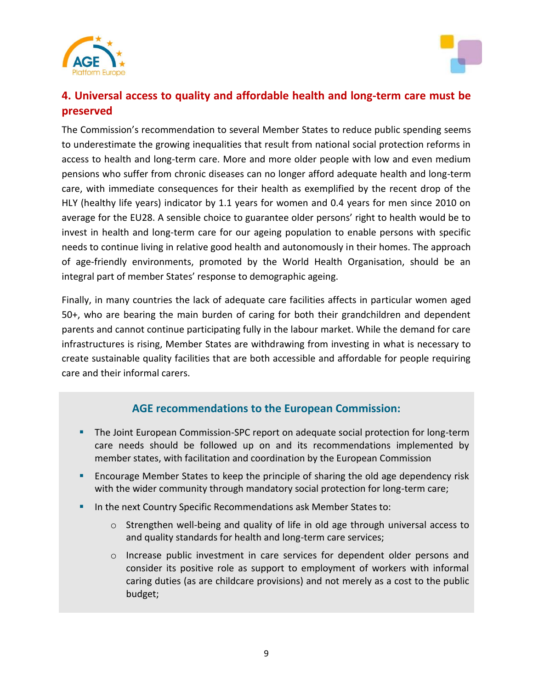



## **4. Universal access to quality and affordable health and long-term care must be preserved**

The Commission's recommendation to several Member States to reduce public spending seems to underestimate the growing inequalities that result from national social protection reforms in access to health and long-term care. More and more older people with low and even medium pensions who suffer from chronic diseases can no longer afford adequate health and long-term care, with immediate consequences for their health as exemplified by the recent drop of the HLY (healthy life years) indicator by 1.1 years for women and 0.4 years for men since 2010 on average for the EU28. A sensible choice to guarantee older persons' right to health would be to invest in health and long-term care for our ageing population to enable persons with specific needs to continue living in relative good health and autonomously in their homes. The approach of age-friendly environments, promoted by the World Health Organisation, should be an integral part of member States' response to demographic ageing.

Finally, in many countries the lack of adequate care facilities affects in particular women aged 50+, who are bearing the main burden of caring for both their grandchildren and dependent parents and cannot continue participating fully in the labour market. While the demand for care infrastructures is rising, Member States are withdrawing from investing in what is necessary to create sustainable quality facilities that are both accessible and affordable for people requiring care and their informal carers.

## **AGE recommendations to the European Commission:**

- The Joint European Commission-SPC report on adequate social protection for long-term care needs should be followed up on and its recommendations implemented by member states, with facilitation and coordination by the European Commission
- Encourage Member States to keep the principle of sharing the old age dependency risk with the wider community through mandatory social protection for long-term care;
- **IF In the next Country Specific Recommendations ask Member States to:** 
	- o Strengthen well-being and quality of life in old age through universal access to and quality standards for health and long-term care services;
	- o Increase public investment in care services for dependent older persons and consider its positive role as support to employment of workers with informal caring duties (as are childcare provisions) and not merely as a cost to the public budget;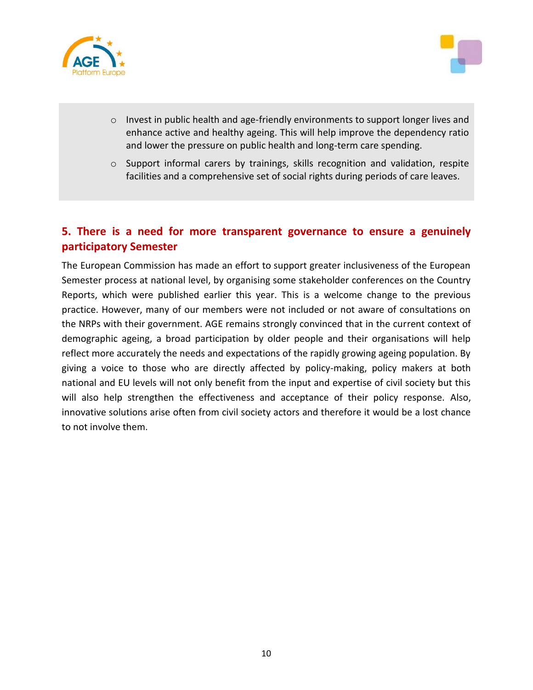



- o Invest in public health and age-friendly environments to support longer lives and enhance active and healthy ageing. This will help improve the dependency ratio and lower the pressure on public health and long-term care spending.
- $\circ$  Support informal carers by trainings, skills recognition and validation, respite facilities and a comprehensive set of social rights during periods of care leaves.

## **5. There is a need for more transparent governance to ensure a genuinely participatory Semester**

The European Commission has made an effort to support greater inclusiveness of the European Semester process at national level, by organising some stakeholder conferences on the Country Reports, which were published earlier this year. This is a welcome change to the previous practice. However, many of our members were not included or not aware of consultations on the NRPs with their government. AGE remains strongly convinced that in the current context of demographic ageing, a broad participation by older people and their organisations will help reflect more accurately the needs and expectations of the rapidly growing ageing population. By giving a voice to those who are directly affected by policy-making, policy makers at both national and EU levels will not only benefit from the input and expertise of civil society but this will also help strengthen the effectiveness and acceptance of their policy response. Also, innovative solutions arise often from civil society actors and therefore it would be a lost chance to not involve them.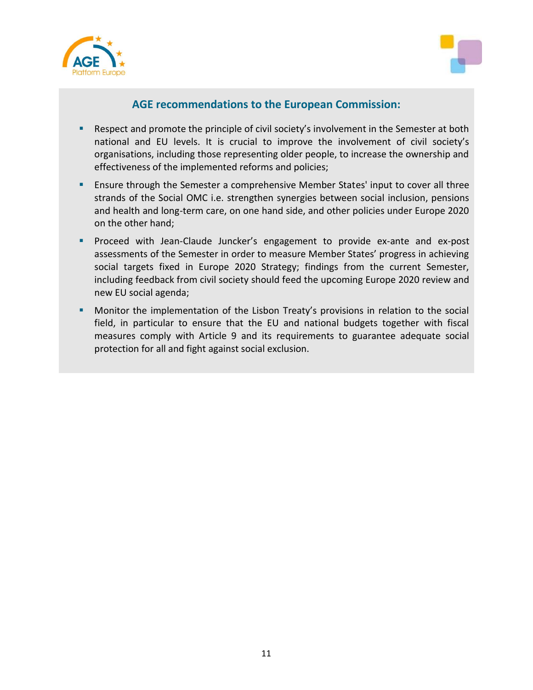



## **AGE recommendations to the European Commission:**

- **Respect and promote the principle of civil society's involvement in the Semester at both** national and EU levels. It is crucial to improve the involvement of civil society's organisations, including those representing older people, to increase the ownership and effectiveness of the implemented reforms and policies;
- **Ensure through the Semester a comprehensive Member States' input to cover all three** strands of the Social OMC i.e. strengthen synergies between social inclusion, pensions and health and long-term care, on one hand side, and other policies under Europe 2020 on the other hand;
- **Proceed with Jean-Claude Juncker's engagement to provide ex-ante and ex-post** assessments of the Semester in order to measure Member States' progress in achieving social targets fixed in Europe 2020 Strategy; findings from the current Semester, including feedback from civil society should feed the upcoming Europe 2020 review and new EU social agenda;
- Monitor the implementation of the Lisbon Treaty's provisions in relation to the social field, in particular to ensure that the EU and national budgets together with fiscal measures comply with Article 9 and its requirements to guarantee adequate social protection for all and fight against social exclusion.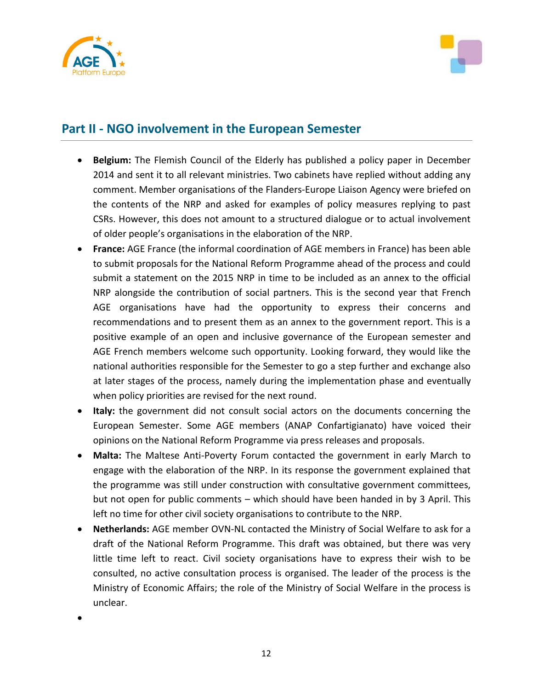



## **Part II - NGO involvement in the European Semester**

- **Belgium:** The Flemish Council of the Elderly has published a policy paper in December 2014 and sent it to all relevant ministries. Two cabinets have replied without adding any comment. Member organisations of the Flanders-Europe Liaison Agency were briefed on the contents of the NRP and asked for examples of policy measures replying to past CSRs. However, this does not amount to a structured dialogue or to actual involvement of older people's organisations in the elaboration of the NRP.
- **France:** AGE France (the informal coordination of AGE members in France) has been able to submit proposals for the National Reform Programme ahead of the process and could submit a statement on the 2015 NRP in time to be included as an annex to the official NRP alongside the contribution of social partners. This is the second year that French AGE organisations have had the opportunity to express their concerns and recommendations and to present them as an annex to the government report. This is a positive example of an open and inclusive governance of the European semester and AGE French members welcome such opportunity. Looking forward, they would like the national authorities responsible for the Semester to go a step further and exchange also at later stages of the process, namely during the implementation phase and eventually when policy priorities are revised for the next round.
- **Italy:** the government did not consult social actors on the documents concerning the European Semester. Some AGE members (ANAP Confartigianato) have voiced their opinions on the National Reform Programme via press releases and proposals.
- **Malta:** The Maltese Anti-Poverty Forum contacted the government in early March to engage with the elaboration of the NRP. In its response the government explained that the programme was still under construction with consultative government committees, but not open for public comments – which should have been handed in by 3 April. This left no time for other civil society organisations to contribute to the NRP.
- **Netherlands:** AGE member OVN-NL contacted the Ministry of Social Welfare to ask for a draft of the National Reform Programme. This draft was obtained, but there was very little time left to react. Civil society organisations have to express their wish to be consulted, no active consultation process is organised. The leader of the process is the Ministry of Economic Affairs; the role of the Ministry of Social Welfare in the process is unclear.

 $\bullet$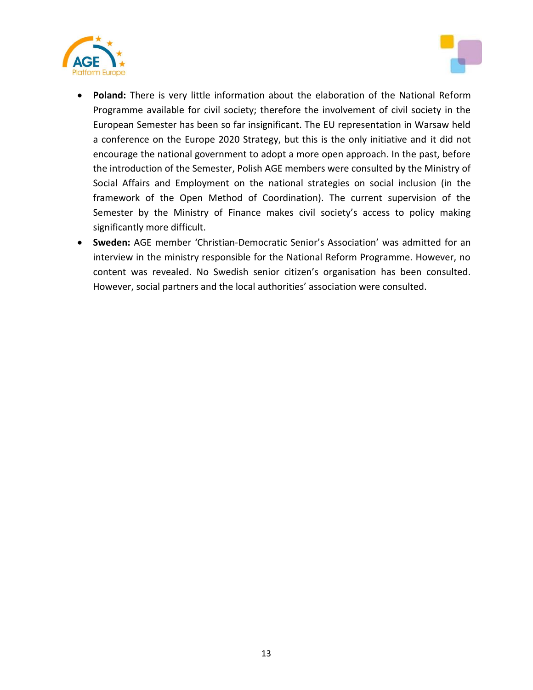



- **Poland:** There is very little information about the elaboration of the National Reform Programme available for civil society; therefore the involvement of civil society in the European Semester has been so far insignificant. The EU representation in Warsaw held a conference on the Europe 2020 Strategy, but this is the only initiative and it did not encourage the national government to adopt a more open approach. In the past, before the introduction of the Semester, Polish AGE members were consulted by the Ministry of Social Affairs and Employment on the national strategies on social inclusion (in the framework of the Open Method of Coordination). The current supervision of the Semester by the Ministry of Finance makes civil society's access to policy making significantly more difficult.
- **Sweden:** AGE member 'Christian-Democratic Senior's Association' was admitted for an interview in the ministry responsible for the National Reform Programme. However, no content was revealed. No Swedish senior citizen's organisation has been consulted. However, social partners and the local authorities' association were consulted.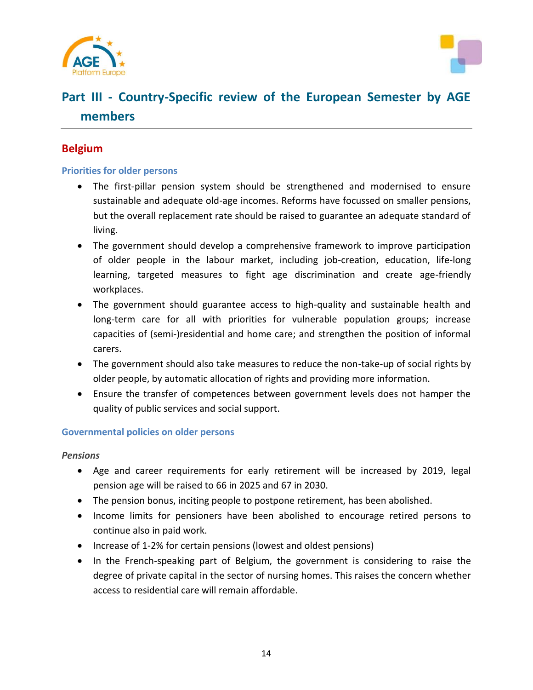



# **Part III - Country-Specific review of the European Semester by AGE members**

## **Belgium**

#### **Priorities for older persons**

- The first-pillar pension system should be strengthened and modernised to ensure sustainable and adequate old-age incomes. Reforms have focussed on smaller pensions, but the overall replacement rate should be raised to guarantee an adequate standard of living.
- The government should develop a comprehensive framework to improve participation of older people in the labour market, including job-creation, education, life-long learning, targeted measures to fight age discrimination and create age-friendly workplaces.
- The government should guarantee access to high-quality and sustainable health and long-term care for all with priorities for vulnerable population groups; increase capacities of (semi-)residential and home care; and strengthen the position of informal carers.
- The government should also take measures to reduce the non-take-up of social rights by older people, by automatic allocation of rights and providing more information.
- Ensure the transfer of competences between government levels does not hamper the quality of public services and social support.

#### **Governmental policies on older persons**

#### *Pensions*

- Age and career requirements for early retirement will be increased by 2019, legal pension age will be raised to 66 in 2025 and 67 in 2030.
- The pension bonus, inciting people to postpone retirement, has been abolished.
- Income limits for pensioners have been abolished to encourage retired persons to continue also in paid work.
- Increase of 1-2% for certain pensions (lowest and oldest pensions)
- In the French-speaking part of Belgium, the government is considering to raise the degree of private capital in the sector of nursing homes. This raises the concern whether access to residential care will remain affordable.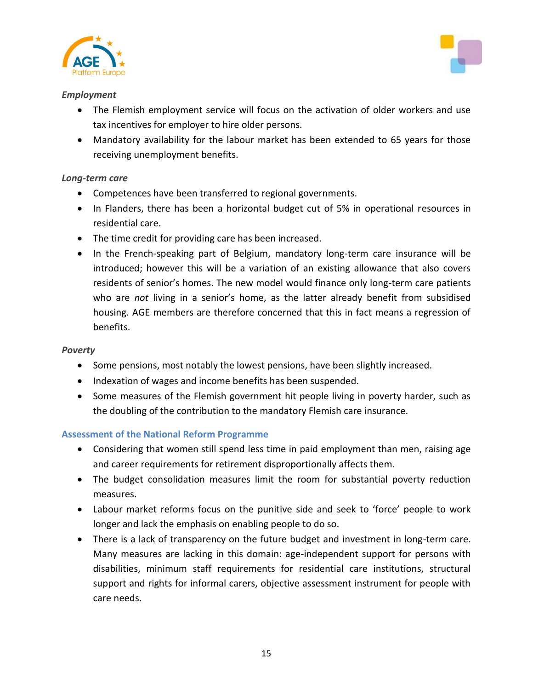



#### *Employment*

- The Flemish employment service will focus on the activation of older workers and use tax incentives for employer to hire older persons.
- Mandatory availability for the labour market has been extended to 65 years for those receiving unemployment benefits.

### *Long-term care*

- Competences have been transferred to regional governments.
- In Flanders, there has been a horizontal budget cut of 5% in operational resources in residential care.
- The time credit for providing care has been increased.
- In the French-speaking part of Belgium, mandatory long-term care insurance will be introduced; however this will be a variation of an existing allowance that also covers residents of senior's homes. The new model would finance only long-term care patients who are *not* living in a senior's home, as the latter already benefit from subsidised housing. AGE members are therefore concerned that this in fact means a regression of benefits.

#### *Poverty*

- Some pensions, most notably the lowest pensions, have been slightly increased.
- Indexation of wages and income benefits has been suspended.
- Some measures of the Flemish government hit people living in poverty harder, such as the doubling of the contribution to the mandatory Flemish care insurance.

## **Assessment of the National Reform Programme**

- Considering that women still spend less time in paid employment than men, raising age and career requirements for retirement disproportionally affects them.
- The budget consolidation measures limit the room for substantial poverty reduction measures.
- Labour market reforms focus on the punitive side and seek to 'force' people to work longer and lack the emphasis on enabling people to do so.
- There is a lack of transparency on the future budget and investment in long-term care. Many measures are lacking in this domain: age-independent support for persons with disabilities, minimum staff requirements for residential care institutions, structural support and rights for informal carers, objective assessment instrument for people with care needs.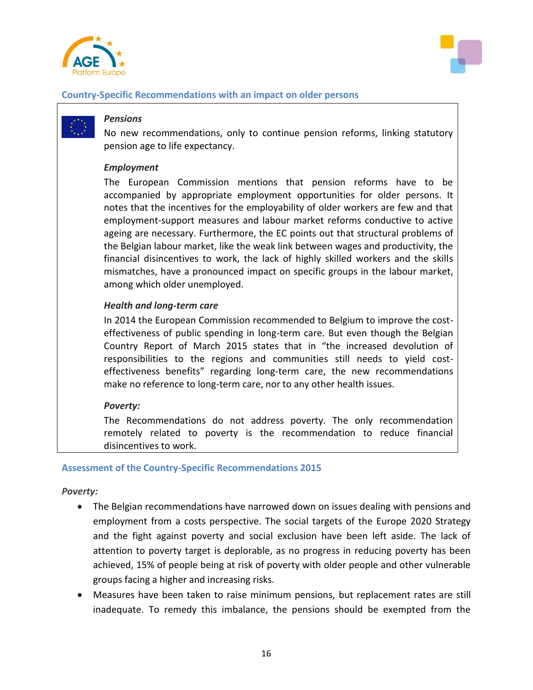



#### **Country-Specific Recommendations with an impact on older persons**

#### *Pensions*

No new recommendations, only to continue pension reforms, linking statutory pension age to life expectancy.

#### *Employment*

The European Commission mentions that pension reforms have to be accompanied by appropriate employment opportunities for older persons. It notes that the incentives for the employability of older workers are few and that employment-support measures and labour market reforms conductive to active ageing are necessary. Furthermore, the EC points out that structural problems of the Belgian labour market, like the weak link between wages and productivity, the financial disincentives to work, the lack of highly skilled workers and the skills mismatches, have a pronounced impact on specific groups in the labour market, among which older unemployed.

#### *Health and long-term care*

In 2014 the European Commission recommended to Belgium to improve the costeffectiveness of public spending in long-term care. But even though the Belgian Country Report of March 2015 states that in "the increased devolution of responsibilities to the regions and communities still needs to yield costeffectiveness benefits" regarding long-term care, the new recommendations make no reference to long-term care, nor to any other health issues.

#### *Poverty:*

The Recommendations do not address poverty. The only recommendation remotely related to poverty is the recommendation to reduce financial disincentives to work.

#### **Assessment of the Country-Specific Recommendations 2015**

*Poverty:*

- The Belgian recommendations have narrowed down on issues dealing with pensions and employment from a costs perspective. The social targets of the Europe 2020 Strategy and the fight against poverty and social exclusion have been left aside. The lack of attention to poverty target is deplorable, as no progress in reducing poverty has been achieved, 15% of people being at risk of poverty with older people and other vulnerable groups facing a higher and increasing risks.
- Measures have been taken to raise minimum pensions, but replacement rates are still inadequate. To remedy this imbalance, the pensions should be exempted from the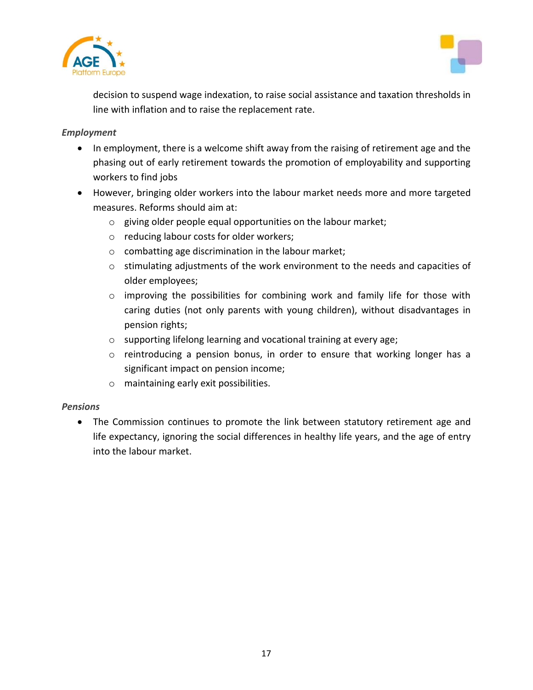



decision to suspend wage indexation, to raise social assistance and taxation thresholds in line with inflation and to raise the replacement rate.

### *Employment*

- In employment, there is a welcome shift away from the raising of retirement age and the phasing out of early retirement towards the promotion of employability and supporting workers to find jobs
- However, bringing older workers into the labour market needs more and more targeted measures. Reforms should aim at:
	- o giving older people equal opportunities on the labour market;
	- o reducing labour costs for older workers;
	- o combatting age discrimination in the labour market;
	- o stimulating adjustments of the work environment to the needs and capacities of older employees;
	- $\circ$  improving the possibilities for combining work and family life for those with caring duties (not only parents with young children), without disadvantages in pension rights;
	- o supporting lifelong learning and vocational training at every age;
	- o reintroducing a pension bonus, in order to ensure that working longer has a significant impact on pension income;
	- o maintaining early exit possibilities.

## *Pensions*

• The Commission continues to promote the link between statutory retirement age and life expectancy, ignoring the social differences in healthy life years, and the age of entry into the labour market.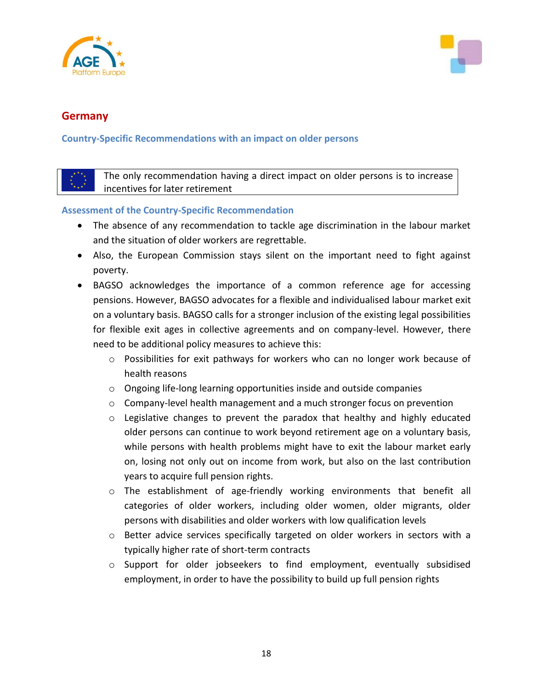



## **Germany**

**Country-Specific Recommendations with an impact on older persons**

The only recommendation having a direct impact on older persons is to increase incentives for later retirement

## **Assessment of the Country-Specific Recommendation**

- The absence of any recommendation to tackle age discrimination in the labour market and the situation of older workers are regrettable.
- Also, the European Commission stays silent on the important need to fight against poverty.
- BAGSO acknowledges the importance of a common reference age for accessing pensions. However, BAGSO advocates for a flexible and individualised labour market exit on a voluntary basis. BAGSO calls for a stronger inclusion of the existing legal possibilities for flexible exit ages in collective agreements and on company-level. However, there need to be additional policy measures to achieve this:
	- o Possibilities for exit pathways for workers who can no longer work because of health reasons
	- o Ongoing life-long learning opportunities inside and outside companies
	- $\circ$  Company-level health management and a much stronger focus on prevention
	- $\circ$  Legislative changes to prevent the paradox that healthy and highly educated older persons can continue to work beyond retirement age on a voluntary basis, while persons with health problems might have to exit the labour market early on, losing not only out on income from work, but also on the last contribution years to acquire full pension rights.
	- o The establishment of age-friendly working environments that benefit all categories of older workers, including older women, older migrants, older persons with disabilities and older workers with low qualification levels
	- o Better advice services specifically targeted on older workers in sectors with a typically higher rate of short-term contracts
	- o Support for older jobseekers to find employment, eventually subsidised employment, in order to have the possibility to build up full pension rights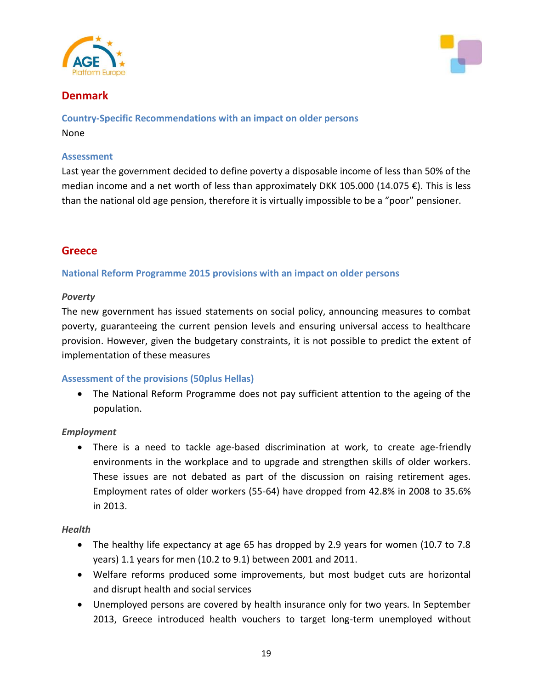



## **Denmark**

**Country-Specific Recommendations with an impact on older persons** None

#### **Assessment**

Last year the government decided to define poverty a disposable income of less than 50% of the median income and a net worth of less than approximately DKK 105.000 (14.075 €). This is less than the national old age pension, therefore it is virtually impossible to be a "poor" pensioner.

## **Greece**

**National Reform Programme 2015 provisions with an impact on older persons**

#### *Poverty*

The new government has issued statements on social policy, announcing measures to combat poverty, guaranteeing the current pension levels and ensuring universal access to healthcare provision. However, given the budgetary constraints, it is not possible to predict the extent of implementation of these measures

#### **Assessment of the provisions (50plus Hellas)**

 The National Reform Programme does not pay sufficient attention to the ageing of the population.

#### *Employment*

 There is a need to tackle age-based discrimination at work, to create age-friendly environments in the workplace and to upgrade and strengthen skills of older workers. These issues are not debated as part of the discussion on raising retirement ages. Employment rates of older workers (55-64) have dropped from 42.8% in 2008 to 35.6% in 2013.

#### *Health*

- The healthy life expectancy at age 65 has dropped by 2.9 years for women (10.7 to 7.8 years) 1.1 years for men (10.2 to 9.1) between 2001 and 2011.
- Welfare reforms produced some improvements, but most budget cuts are horizontal and disrupt health and social services
- Unemployed persons are covered by health insurance only for two years. In September 2013, Greece introduced health vouchers to target long-term unemployed without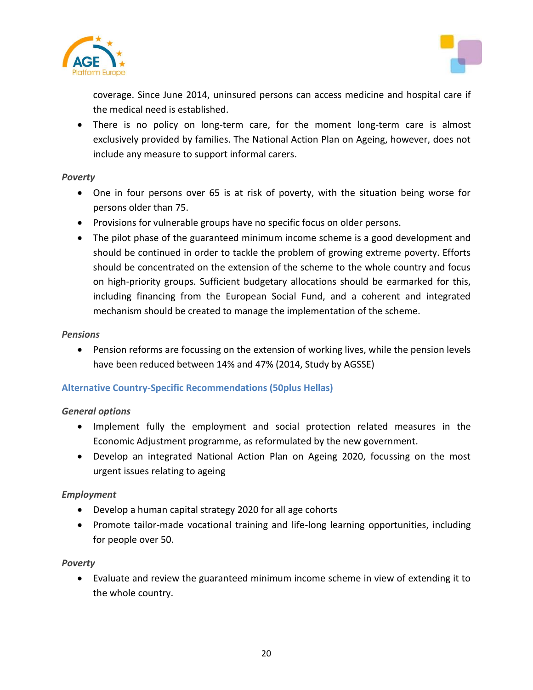



coverage. Since June 2014, uninsured persons can access medicine and hospital care if the medical need is established.

 There is no policy on long-term care, for the moment long-term care is almost exclusively provided by families. The National Action Plan on Ageing, however, does not include any measure to support informal carers.

### *Poverty*

- One in four persons over 65 is at risk of poverty, with the situation being worse for persons older than 75.
- Provisions for vulnerable groups have no specific focus on older persons.
- The pilot phase of the guaranteed minimum income scheme is a good development and should be continued in order to tackle the problem of growing extreme poverty. Efforts should be concentrated on the extension of the scheme to the whole country and focus on high-priority groups. Sufficient budgetary allocations should be earmarked for this, including financing from the European Social Fund, and a coherent and integrated mechanism should be created to manage the implementation of the scheme.

#### *Pensions*

 Pension reforms are focussing on the extension of working lives, while the pension levels have been reduced between 14% and 47% (2014, Study by AGSSE)

#### **Alternative Country-Specific Recommendations (50plus Hellas)**

#### *General options*

- Implement fully the employment and social protection related measures in the Economic Adjustment programme, as reformulated by the new government.
- Develop an integrated National Action Plan on Ageing 2020, focussing on the most urgent issues relating to ageing

#### *Employment*

- Develop a human capital strategy 2020 for all age cohorts
- Promote tailor-made vocational training and life-long learning opportunities, including for people over 50.

#### *Poverty*

 Evaluate and review the guaranteed minimum income scheme in view of extending it to the whole country.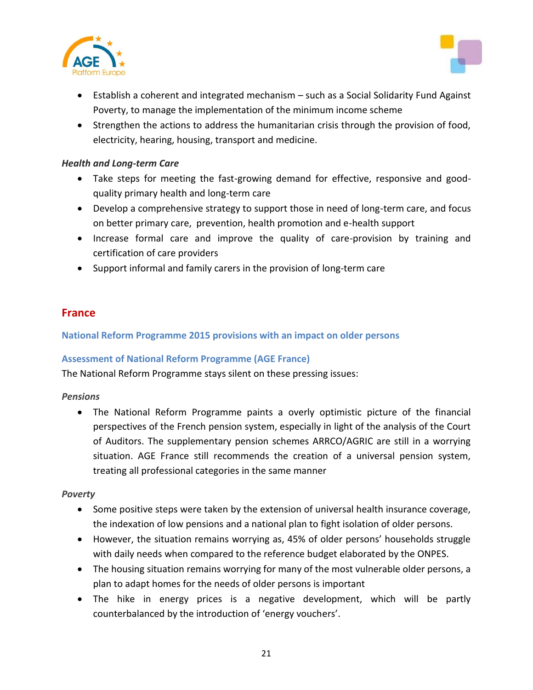



- Establish a coherent and integrated mechanism such as a Social Solidarity Fund Against Poverty, to manage the implementation of the minimum income scheme
- Strengthen the actions to address the humanitarian crisis through the provision of food, electricity, hearing, housing, transport and medicine.

#### *Health and Long-term Care*

- Take steps for meeting the fast-growing demand for effective, responsive and goodquality primary health and long-term care
- Develop a comprehensive strategy to support those in need of long-term care, and focus on better primary care, prevention, health promotion and e-health support
- Increase formal care and improve the quality of care-provision by training and certification of care providers
- Support informal and family carers in the provision of long-term care

## **France**

**National Reform Programme 2015 provisions with an impact on older persons**

## **Assessment of National Reform Programme (AGE France)**

The National Reform Programme stays silent on these pressing issues:

#### *Pensions*

 The National Reform Programme paints a overly optimistic picture of the financial perspectives of the French pension system, especially in light of the analysis of the Court of Auditors. The supplementary pension schemes ARRCO/AGRIC are still in a worrying situation. AGE France still recommends the creation of a universal pension system, treating all professional categories in the same manner

#### *Poverty*

- Some positive steps were taken by the extension of universal health insurance coverage, the indexation of low pensions and a national plan to fight isolation of older persons.
- However, the situation remains worrying as, 45% of older persons' households struggle with daily needs when compared to the reference budget elaborated by the ONPES.
- The housing situation remains worrying for many of the most vulnerable older persons, a plan to adapt homes for the needs of older persons is important
- The hike in energy prices is a negative development, which will be partly counterbalanced by the introduction of 'energy vouchers'.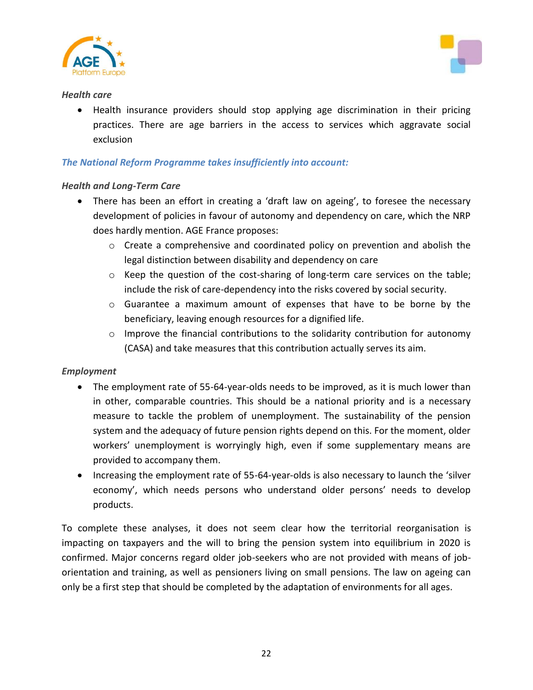



#### *Health care*

 Health insurance providers should stop applying age discrimination in their pricing practices. There are age barriers in the access to services which aggravate social exclusion

### *The National Reform Programme takes insufficiently into account:*

#### *Health and Long-Term Care*

- There has been an effort in creating a 'draft law on ageing', to foresee the necessary development of policies in favour of autonomy and dependency on care, which the NRP does hardly mention. AGE France proposes:
	- $\circ$  Create a comprehensive and coordinated policy on prevention and abolish the legal distinction between disability and dependency on care
	- $\circ$  Keep the question of the cost-sharing of long-term care services on the table; include the risk of care-dependency into the risks covered by social security.
	- o Guarantee a maximum amount of expenses that have to be borne by the beneficiary, leaving enough resources for a dignified life.
	- $\circ$  Improve the financial contributions to the solidarity contribution for autonomy (CASA) and take measures that this contribution actually serves its aim.

#### *Employment*

- The employment rate of 55-64-year-olds needs to be improved, as it is much lower than in other, comparable countries. This should be a national priority and is a necessary measure to tackle the problem of unemployment. The sustainability of the pension system and the adequacy of future pension rights depend on this. For the moment, older workers' unemployment is worryingly high, even if some supplementary means are provided to accompany them.
- Increasing the employment rate of 55-64-year-olds is also necessary to launch the 'silver economy', which needs persons who understand older persons' needs to develop products.

To complete these analyses, it does not seem clear how the territorial reorganisation is impacting on taxpayers and the will to bring the pension system into equilibrium in 2020 is confirmed. Major concerns regard older job-seekers who are not provided with means of joborientation and training, as well as pensioners living on small pensions. The law on ageing can only be a first step that should be completed by the adaptation of environments for all ages.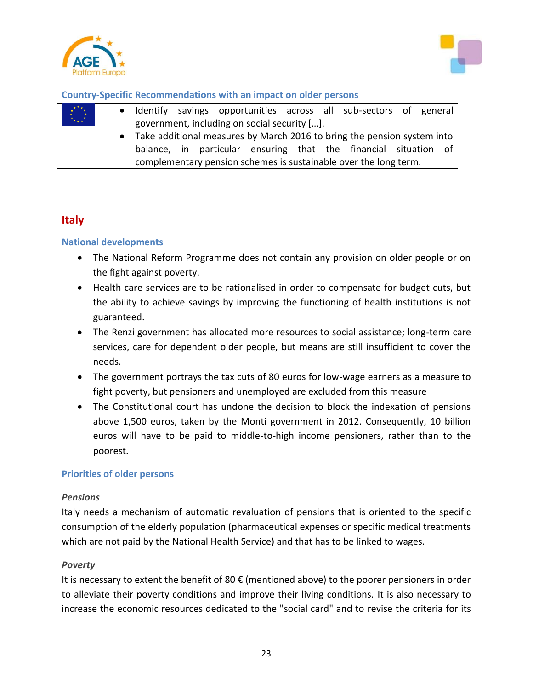



#### **Country-Specific Recommendations with an impact on older persons**

| $x^{\star}$ $\stackrel{\star}{\rightarrow}$ $\stackrel{\star}{\rightarrow}$ |  |                                                                           |                                                                  |  |  |  |  |  | • Identify savings opportunities across all sub-sectors of general |  |  |  |
|-----------------------------------------------------------------------------|--|---------------------------------------------------------------------------|------------------------------------------------------------------|--|--|--|--|--|--------------------------------------------------------------------|--|--|--|
| $\mathcal{H}_{\mathbf{w},\mathbf{w}}$                                       |  |                                                                           | government, including on social security [].                     |  |  |  |  |  |                                                                    |  |  |  |
|                                                                             |  | • Take additional measures by March 2016 to bring the pension system into |                                                                  |  |  |  |  |  |                                                                    |  |  |  |
|                                                                             |  |                                                                           |                                                                  |  |  |  |  |  | balance, in particular ensuring that the financial situation of    |  |  |  |
|                                                                             |  |                                                                           | complementary pension schemes is sustainable over the long term. |  |  |  |  |  |                                                                    |  |  |  |

## **Italy**

#### **National developments**

- The National Reform Programme does not contain any provision on older people or on the fight against poverty.
- Health care services are to be rationalised in order to compensate for budget cuts, but the ability to achieve savings by improving the functioning of health institutions is not guaranteed.
- The Renzi government has allocated more resources to social assistance; long-term care services, care for dependent older people, but means are still insufficient to cover the needs.
- The government portrays the tax cuts of 80 euros for low-wage earners as a measure to fight poverty, but pensioners and unemployed are excluded from this measure
- The Constitutional court has undone the decision to block the indexation of pensions above 1,500 euros, taken by the Monti government in 2012. Consequently, 10 billion euros will have to be paid to middle-to-high income pensioners, rather than to the poorest.

#### **Priorities of older persons**

#### *Pensions*

Italy needs a mechanism of automatic revaluation of pensions that is oriented to the specific consumption of the elderly population (pharmaceutical expenses or specific medical treatments which are not paid by the National Health Service) and that has to be linked to wages.

#### *Poverty*

It is necessary to extent the benefit of 80  $\epsilon$  (mentioned above) to the poorer pensioners in order to alleviate their poverty conditions and improve their living conditions. It is also necessary to increase the economic resources dedicated to the "social card" and to revise the criteria for its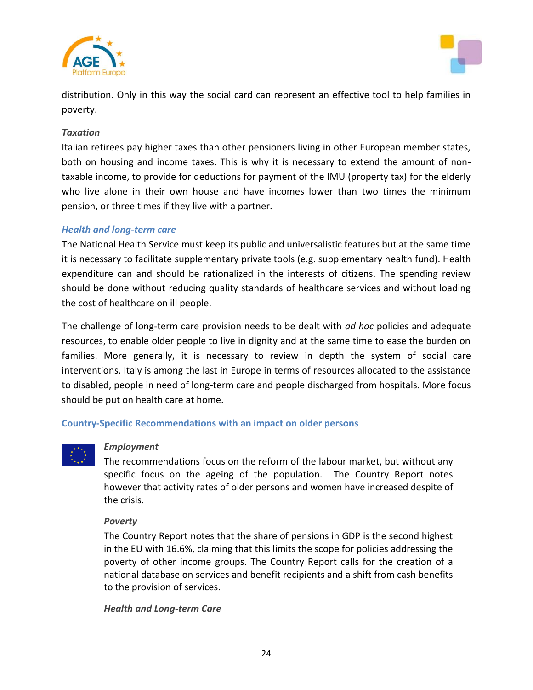



distribution. Only in this way the social card can represent an effective tool to help families in poverty.

#### *Taxation*

Italian retirees pay higher taxes than other pensioners living in other European member states, both on housing and income taxes. This is why it is necessary to extend the amount of nontaxable income, to provide for deductions for payment of the IMU (property tax) for the elderly who live alone in their own house and have incomes lower than two times the minimum pension, or three times if they live with a partner.

#### *Health and long-term care*

The National Health Service must keep its public and universalistic features but at the same time it is necessary to facilitate supplementary private tools (e.g. supplementary health fund). Health expenditure can and should be rationalized in the interests of citizens. The spending review should be done without reducing quality standards of healthcare services and without loading the cost of healthcare on ill people.

The challenge of long-term care provision needs to be dealt with *ad hoc* policies and adequate resources, to enable older people to live in dignity and at the same time to ease the burden on families. More generally, it is necessary to review in depth the system of social care interventions, Italy is among the last in Europe in terms of resources allocated to the assistance to disabled, people in need of long-term care and people discharged from hospitals. More focus should be put on health care at home.

#### **Country-Specific Recommendations with an impact on older persons**

#### *Employment*

The recommendations focus on the reform of the labour market, but without any specific focus on the ageing of the population. The Country Report notes however that activity rates of older persons and women have increased despite of the crisis.

#### *Poverty*

The Country Report notes that the share of pensions in GDP is the second highest in the EU with 16.6%, claiming that this limits the scope for policies addressing the poverty of other income groups. The Country Report calls for the creation of a national database on services and benefit recipients and a shift from cash benefits to the provision of services.

*Health and Long-term Care*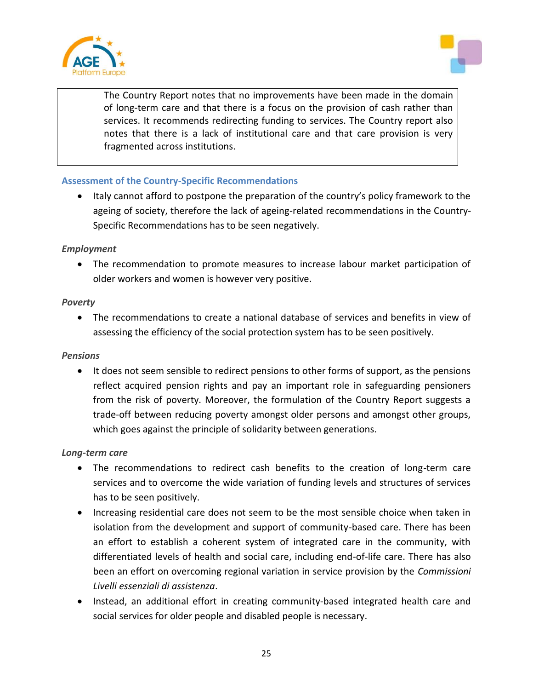



The Country Report notes that no improvements have been made in the domain of long-term care and that there is a focus on the provision of cash rather than services. It recommends redirecting funding to services. The Country report also notes that there is a lack of institutional care and that care provision is very fragmented across institutions.

### **Assessment of the Country-Specific Recommendations**

• Italy cannot afford to postpone the preparation of the country's policy framework to the ageing of society, therefore the lack of ageing-related recommendations in the Country-Specific Recommendations has to be seen negatively.

#### *Employment*

 The recommendation to promote measures to increase labour market participation of older workers and women is however very positive.

#### *Poverty*

 The recommendations to create a national database of services and benefits in view of assessing the efficiency of the social protection system has to be seen positively.

#### *Pensions*

• It does not seem sensible to redirect pensions to other forms of support, as the pensions reflect acquired pension rights and pay an important role in safeguarding pensioners from the risk of poverty. Moreover, the formulation of the Country Report suggests a trade-off between reducing poverty amongst older persons and amongst other groups, which goes against the principle of solidarity between generations.

#### *Long-term care*

- The recommendations to redirect cash benefits to the creation of long-term care services and to overcome the wide variation of funding levels and structures of services has to be seen positively.
- Increasing residential care does not seem to be the most sensible choice when taken in isolation from the development and support of community-based care. There has been an effort to establish a coherent system of integrated care in the community, with differentiated levels of health and social care, including end-of-life care. There has also been an effort on overcoming regional variation in service provision by the *Commissioni Livelli essenziali di assistenza*.
- Instead, an additional effort in creating community-based integrated health care and social services for older people and disabled people is necessary.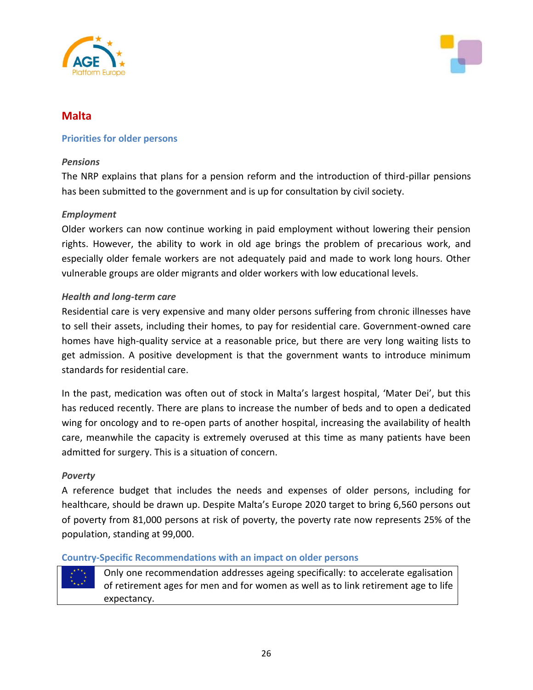



## **Malta**

#### **Priorities for older persons**

#### *Pensions*

The NRP explains that plans for a pension reform and the introduction of third-pillar pensions has been submitted to the government and is up for consultation by civil society.

#### *Employment*

Older workers can now continue working in paid employment without lowering their pension rights. However, the ability to work in old age brings the problem of precarious work, and especially older female workers are not adequately paid and made to work long hours. Other vulnerable groups are older migrants and older workers with low educational levels.

#### *Health and long-term care*

Residential care is very expensive and many older persons suffering from chronic illnesses have to sell their assets, including their homes, to pay for residential care. Government-owned care homes have high-quality service at a reasonable price, but there are very long waiting lists to get admission. A positive development is that the government wants to introduce minimum standards for residential care.

In the past, medication was often out of stock in Malta's largest hospital, 'Mater Dei', but this has reduced recently. There are plans to increase the number of beds and to open a dedicated wing for oncology and to re-open parts of another hospital, increasing the availability of health care, meanwhile the capacity is extremely overused at this time as many patients have been admitted for surgery. This is a situation of concern.

#### *Poverty*

A reference budget that includes the needs and expenses of older persons, including for healthcare, should be drawn up. Despite Malta's Europe 2020 target to bring 6,560 persons out of poverty from 81,000 persons at risk of poverty, the poverty rate now represents 25% of the population, standing at 99,000.

#### **Country-Specific Recommendations with an impact on older persons**

Only one recommendation addresses ageing specifically: to accelerate egalisation of retirement ages for men and for women as well as to link retirement age to life expectancy.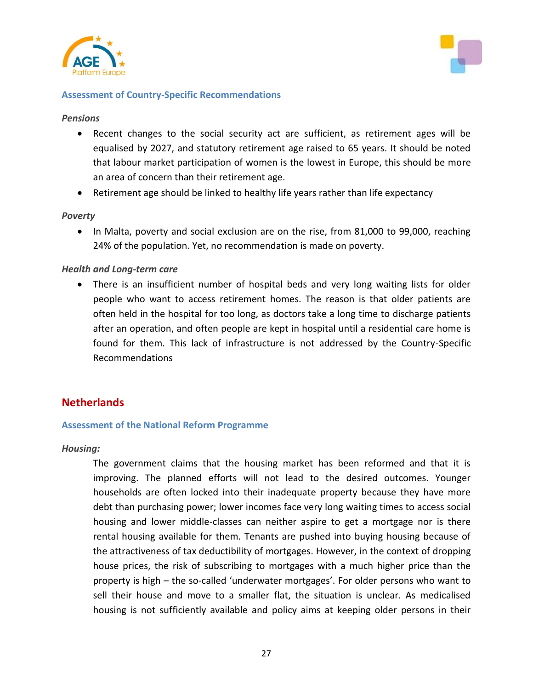



#### **Assessment of Country-Specific Recommendations**

#### *Pensions*

- Recent changes to the social security act are sufficient, as retirement ages will be equalised by 2027, and statutory retirement age raised to 65 years. It should be noted that labour market participation of women is the lowest in Europe, this should be more an area of concern than their retirement age.
- Retirement age should be linked to healthy life years rather than life expectancy

#### *Poverty*

• In Malta, poverty and social exclusion are on the rise, from 81,000 to 99,000, reaching 24% of the population. Yet, no recommendation is made on poverty.

#### *Health and Long-term care*

• There is an insufficient number of hospital beds and very long waiting lists for older people who want to access retirement homes. The reason is that older patients are often held in the hospital for too long, as doctors take a long time to discharge patients after an operation, and often people are kept in hospital until a residential care home is found for them. This lack of infrastructure is not addressed by the Country-Specific Recommendations

## **Netherlands**

#### **Assessment of the National Reform Programme**

#### *Housing:*

The government claims that the housing market has been reformed and that it is improving. The planned efforts will not lead to the desired outcomes. Younger households are often locked into their inadequate property because they have more debt than purchasing power; lower incomes face very long waiting times to access social housing and lower middle-classes can neither aspire to get a mortgage nor is there rental housing available for them. Tenants are pushed into buying housing because of the attractiveness of tax deductibility of mortgages. However, in the context of dropping house prices, the risk of subscribing to mortgages with a much higher price than the property is high – the so-called 'underwater mortgages'. For older persons who want to sell their house and move to a smaller flat, the situation is unclear. As medicalised housing is not sufficiently available and policy aims at keeping older persons in their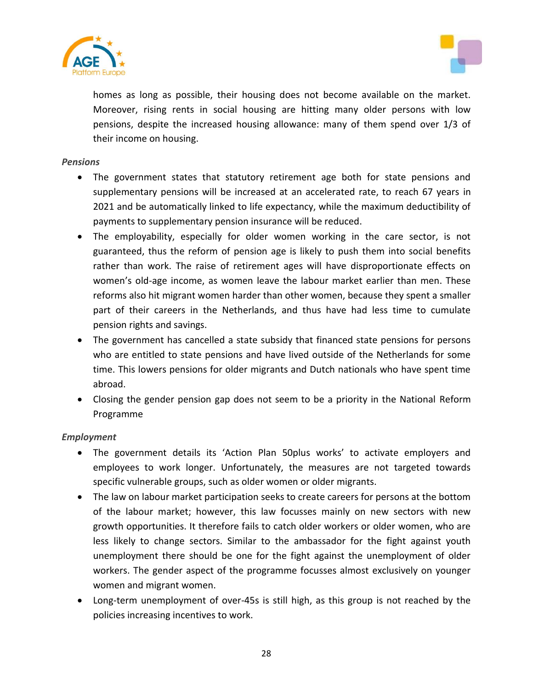



homes as long as possible, their housing does not become available on the market. Moreover, rising rents in social housing are hitting many older persons with low pensions, despite the increased housing allowance: many of them spend over 1/3 of their income on housing.

#### *Pensions*

- The government states that statutory retirement age both for state pensions and supplementary pensions will be increased at an accelerated rate, to reach 67 years in 2021 and be automatically linked to life expectancy, while the maximum deductibility of payments to supplementary pension insurance will be reduced.
- The employability, especially for older women working in the care sector, is not guaranteed, thus the reform of pension age is likely to push them into social benefits rather than work. The raise of retirement ages will have disproportionate effects on women's old-age income, as women leave the labour market earlier than men. These reforms also hit migrant women harder than other women, because they spent a smaller part of their careers in the Netherlands, and thus have had less time to cumulate pension rights and savings.
- The government has cancelled a state subsidy that financed state pensions for persons who are entitled to state pensions and have lived outside of the Netherlands for some time. This lowers pensions for older migrants and Dutch nationals who have spent time abroad.
- Closing the gender pension gap does not seem to be a priority in the National Reform Programme

#### *Employment*

- The government details its 'Action Plan 50plus works' to activate employers and employees to work longer. Unfortunately, the measures are not targeted towards specific vulnerable groups, such as older women or older migrants.
- The law on labour market participation seeks to create careers for persons at the bottom of the labour market; however, this law focusses mainly on new sectors with new growth opportunities. It therefore fails to catch older workers or older women, who are less likely to change sectors. Similar to the ambassador for the fight against youth unemployment there should be one for the fight against the unemployment of older workers. The gender aspect of the programme focusses almost exclusively on younger women and migrant women.
- Long-term unemployment of over-45s is still high, as this group is not reached by the policies increasing incentives to work.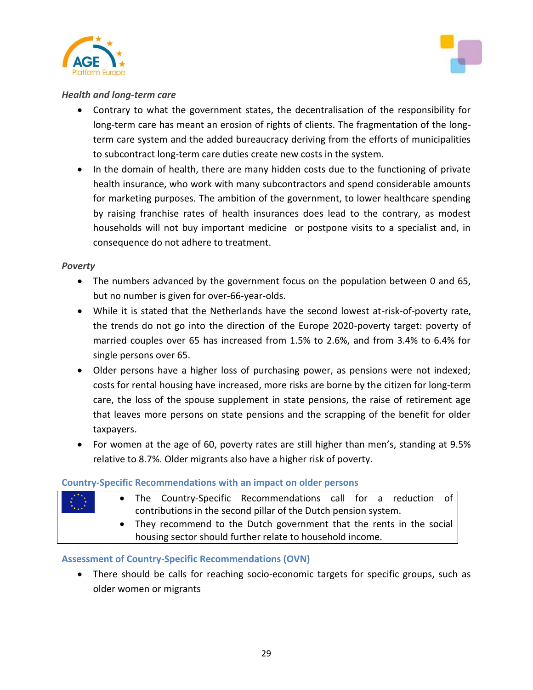



#### *Health and long-term care*

- Contrary to what the government states, the decentralisation of the responsibility for long-term care has meant an erosion of rights of clients. The fragmentation of the longterm care system and the added bureaucracy deriving from the efforts of municipalities to subcontract long-term care duties create new costs in the system.
- In the domain of health, there are many hidden costs due to the functioning of private health insurance, who work with many subcontractors and spend considerable amounts for marketing purposes. The ambition of the government, to lower healthcare spending by raising franchise rates of health insurances does lead to the contrary, as modest households will not buy important medicine or postpone visits to a specialist and, in consequence do not adhere to treatment.

#### *Poverty*

- The numbers advanced by the government focus on the population between 0 and 65, but no number is given for over-66-year-olds.
- While it is stated that the Netherlands have the second lowest at-risk-of-poverty rate, the trends do not go into the direction of the Europe 2020-poverty target: poverty of married couples over 65 has increased from 1.5% to 2.6%, and from 3.4% to 6.4% for single persons over 65.
- Older persons have a higher loss of purchasing power, as pensions were not indexed; costs for rental housing have increased, more risks are borne by the citizen for long-term care, the loss of the spouse supplement in state pensions, the raise of retirement age that leaves more persons on state pensions and the scrapping of the benefit for older taxpayers.
- For women at the age of 60, poverty rates are still higher than men's, standing at 9.5% relative to 8.7%. Older migrants also have a higher risk of poverty.

## **Country-Specific Recommendations with an impact on older persons**

| $\sum_{k=1}^{k+n}$ |                                                                       |                                                           |                                                                 | • The Country-Specific Recommendations call for a reduction of |  |  |  |  |  |  |  |
|--------------------|-----------------------------------------------------------------------|-----------------------------------------------------------|-----------------------------------------------------------------|----------------------------------------------------------------|--|--|--|--|--|--|--|
|                    |                                                                       |                                                           | contributions in the second pillar of the Dutch pension system. |                                                                |  |  |  |  |  |  |  |
|                    | • They recommend to the Dutch government that the rents in the social |                                                           |                                                                 |                                                                |  |  |  |  |  |  |  |
|                    |                                                                       | housing sector should further relate to household income. |                                                                 |                                                                |  |  |  |  |  |  |  |

## **Assessment of Country-Specific Recommendations (OVN)**

 There should be calls for reaching socio-economic targets for specific groups, such as older women or migrants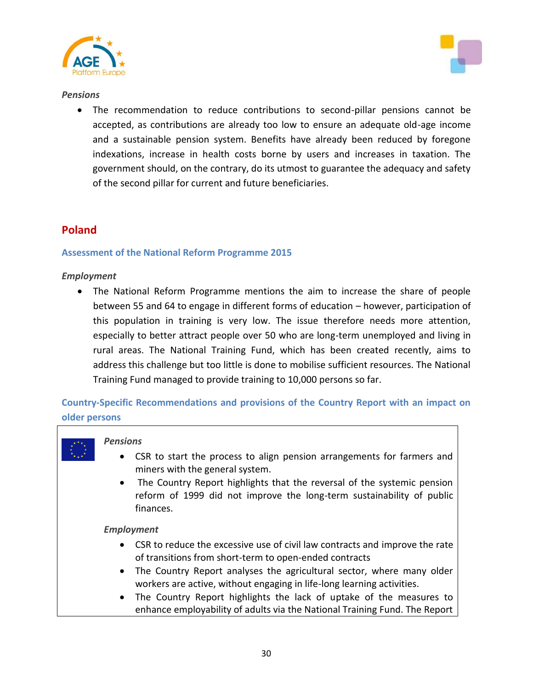



#### *Pensions*

 The recommendation to reduce contributions to second-pillar pensions cannot be accepted, as contributions are already too low to ensure an adequate old-age income and a sustainable pension system. Benefits have already been reduced by foregone indexations, increase in health costs borne by users and increases in taxation. The government should, on the contrary, do its utmost to guarantee the adequacy and safety of the second pillar for current and future beneficiaries.

## **Poland**

#### **Assessment of the National Reform Programme 2015**

#### *Employment*

 The National Reform Programme mentions the aim to increase the share of people between 55 and 64 to engage in different forms of education – however, participation of this population in training is very low. The issue therefore needs more attention, especially to better attract people over 50 who are long-term unemployed and living in rural areas. The National Training Fund, which has been created recently, aims to address this challenge but too little is done to mobilise sufficient resources. The National Training Fund managed to provide training to 10,000 persons so far.

**Country-Specific Recommendations and provisions of the Country Report with an impact on older persons**

#### *Pensions*

- CSR to start the process to align pension arrangements for farmers and miners with the general system.
- The Country Report highlights that the reversal of the systemic pension reform of 1999 did not improve the long-term sustainability of public finances.

#### *Employment*

- CSR to reduce the excessive use of civil law contracts and improve the rate of transitions from short-term to open-ended contracts
- The Country Report analyses the agricultural sector, where many older workers are active, without engaging in life-long learning activities.
- The Country Report highlights the lack of uptake of the measures to enhance employability of adults via the National Training Fund. The Report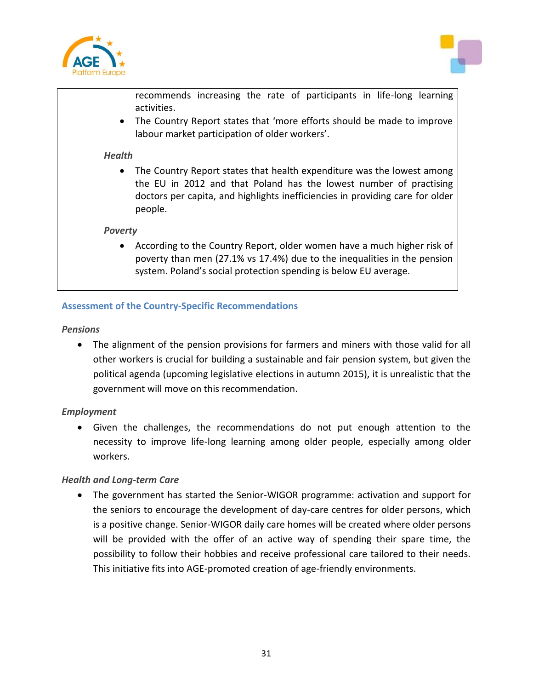



recommends increasing the rate of participants in life-long learning activities.

 The Country Report states that 'more efforts should be made to improve labour market participation of older workers'.

#### *Health*

 The Country Report states that health expenditure was the lowest among the EU in 2012 and that Poland has the lowest number of practising doctors per capita, and highlights inefficiencies in providing care for older people.

#### *Poverty*

 According to the Country Report, older women have a much higher risk of poverty than men (27.1% vs 17.4%) due to the inequalities in the pension system. Poland's social protection spending is below EU average.

### **Assessment of the Country-Specific Recommendations**

#### *Pensions*

 The alignment of the pension provisions for farmers and miners with those valid for all other workers is crucial for building a sustainable and fair pension system, but given the political agenda (upcoming legislative elections in autumn 2015), it is unrealistic that the government will move on this recommendation.

#### *Employment*

 Given the challenges, the recommendations do not put enough attention to the necessity to improve life-long learning among older people, especially among older workers.

#### *Health and Long-term Care*

 The government has started the Senior-WIGOR programme: activation and support for the seniors to encourage the development of day-care centres for older persons, which is a positive change. Senior-WIGOR daily care homes will be created where older persons will be provided with the offer of an active way of spending their spare time, the possibility to follow their hobbies and receive professional care tailored to their needs. This initiative fits into AGE-promoted creation of age-friendly environments.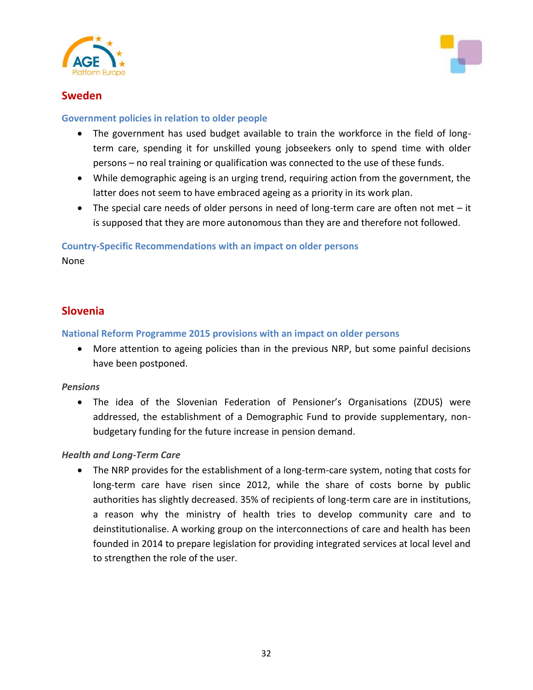



## **Sweden**

#### **Government policies in relation to older people**

- The government has used budget available to train the workforce in the field of longterm care, spending it for unskilled young jobseekers only to spend time with older persons – no real training or qualification was connected to the use of these funds.
- While demographic ageing is an urging trend, requiring action from the government, the latter does not seem to have embraced ageing as a priority in its work plan.
- The special care needs of older persons in need of long-term care are often not met it is supposed that they are more autonomous than they are and therefore not followed.

**Country-Specific Recommendations with an impact on older persons**

None

## **Slovenia**

**National Reform Programme 2015 provisions with an impact on older persons**

 More attention to ageing policies than in the previous NRP, but some painful decisions have been postponed.

#### *Pensions*

 The idea of the Slovenian Federation of Pensioner's Organisations (ZDUS) were addressed, the establishment of a Demographic Fund to provide supplementary, nonbudgetary funding for the future increase in pension demand.

#### *Health and Long-Term Care*

 The NRP provides for the establishment of a long-term-care system, noting that costs for long-term care have risen since 2012, while the share of costs borne by public authorities has slightly decreased. 35% of recipients of long-term care are in institutions, a reason why the ministry of health tries to develop community care and to deinstitutionalise. A working group on the interconnections of care and health has been founded in 2014 to prepare legislation for providing integrated services at local level and to strengthen the role of the user.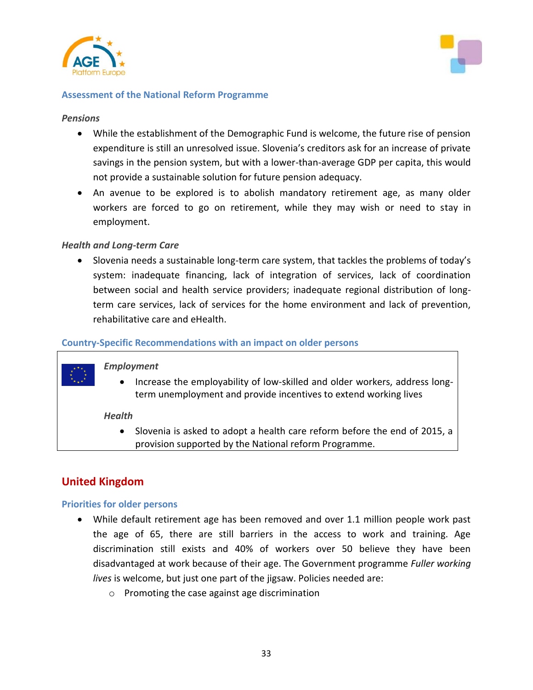



#### **Assessment of the National Reform Programme**

#### *Pensions*

- While the establishment of the Demographic Fund is welcome, the future rise of pension expenditure is still an unresolved issue. Slovenia's creditors ask for an increase of private savings in the pension system, but with a lower-than-average GDP per capita, this would not provide a sustainable solution for future pension adequacy.
- An avenue to be explored is to abolish mandatory retirement age, as many older workers are forced to go on retirement, while they may wish or need to stay in employment.

#### *Health and Long-term Care*

 Slovenia needs a sustainable long-term care system, that tackles the problems of today's system: inadequate financing, lack of integration of services, lack of coordination between social and health service providers; inadequate regional distribution of longterm care services, lack of services for the home environment and lack of prevention, rehabilitative care and eHealth.

#### **Country-Specific Recommendations with an impact on older persons**

#### *Employment*

• Increase the employability of low-skilled and older workers, address longterm unemployment and provide incentives to extend working lives

#### *Health*

• Slovenia is asked to adopt a health care reform before the end of 2015, a provision supported by the National reform Programme.

## **United Kingdom**

#### **Priorities for older persons**

- While default retirement age has been removed and over 1.1 million people work past the age of 65, there are still barriers in the access to work and training. Age discrimination still exists and 40% of workers over 50 believe they have been disadvantaged at work because of their age. The Government programme *Fuller working lives* is welcome, but just one part of the jigsaw. Policies needed are:
	- o Promoting the case against age discrimination